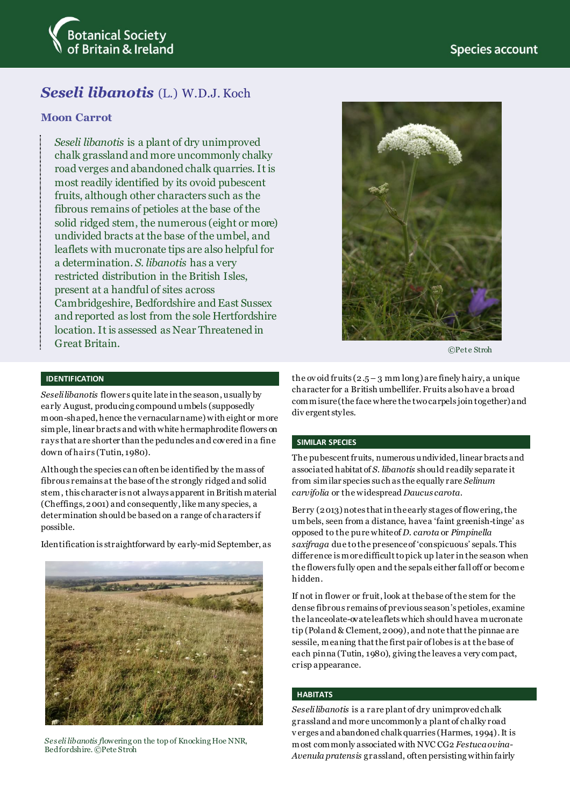

# *Seseli libanotis* (L.) W.D.J. Koch

# **Moon Carrot**

*Seseli libanotis* is a plant of dry unimproved chalk grassland and more uncommonly chalky road verges and abandoned chalk quarries. It is most readily identified by its ovoid pubescent fruits, although other characters such as the fibrous remains of petioles at the base of the solid ridged stem, the numerous (eight or more) undivided bracts at the base of the umbel, and leaflets with mucronate tips are also helpful for a determination. *S. libanotis* has a very restricted distribution in the British Isles, present at a handful of sites across Cambridgeshire, Bedfordshire and East Sussex and reported as lost from the sole Hertfordshire location. It is assessed as Near Threatened in Great Britain.



©Pete Stroh

#### **IDENTIFICATION**

*Seseli libanotis* flowers quite late in the season, usually by early August, producing compound umbels (supposedly moon-shaped, hence the vernacular name) with eight or more simple, linear bracts and with white hermaphrodite flowers on rays that are shorter than the peduncles and covered in a fine down of hairs (Tutin, 1980).

Although the species can often be identified by the mass of fibrous remains at the base of the strongly ridged and solid stem, this character is not always apparent in British material (Cheffings, 2001) and consequently, like many species, a determination should be based on a range of characters if possible.

Identification is straightforward by early-mid September, as



*Seseli libanotis f*lowering on the top of Knocking Hoe NNR, Bedfordshire. ©Pete Stroh

the ov oid fruits  $(2.5 - 3 \text{ mm} \log a)$  are finely hairy, a unique character for a British umbellifer. Fruits alsohave a broad commisure (the face where the two carpels join together) and div ergent styles.

#### **SIMILAR SPECIES**

The pubescent fruits, numerous undivided, linear bracts and associated habitat of *S. libanotis* should readily separate it from similar species such as the equally rare *Selinum carvifolia* or the widespread *Daucus carota*.

Berry (2013)notes that in the early stages of flowering,the umbels, seen from a distance, have a 'faint greenish-tinge' as opposed to the pure white of *D. carota* or *Pimpinella saxifraga* due to the presence of 'conspicuous' sepals. This difference is more difficult to pick up later in the season when the flowers fully open and the sepals either fall off or become hidden.

If not in flower or fruit, look at the base of the stem for the dense fibrous remains of previous season's petioles, examine the lanceolate-ovate leaflets which should have a mucronate tip (Poland & Clement, 2009), and note that the pinnae are sessile, meaning that the first pair of lobes is at the base of each pinna (Tutin, 1980), giving the leaves a very compact, crisp appearance.

#### **HABITATS**

*Seselilibanotis* is a rare plant of dry unimproved chalk grassland and more uncommonly a plant of chalky road v erges and abandoned chalk quarries (Harmes, 1994). It is most commonly associated with NVC CG2 *Festuca ovina-Avenula pratensis* grassland, often persisting within fairly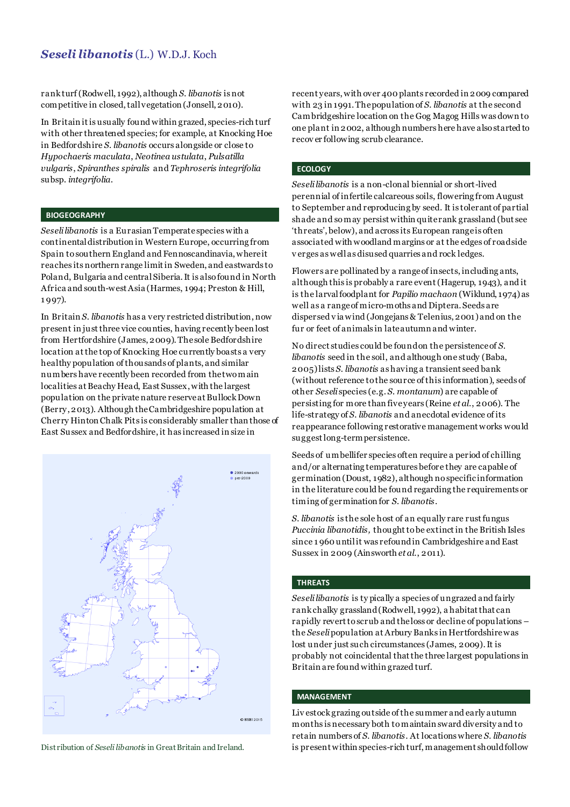# *Seseli libanotis* (L.) W.D.J. Koch

rank turf(Rodwell, 1992), although *S. libanotis* is not competitive in closed, tall vegetation (Jonsell, 2010).

In Britain itis usually found within grazed, species-rich turf with other threatened species; for example, at Knocking Hoe in Bedfordshire *S. libanotis* occurs alongside or close to *Hypochaeris maculata*, *Neotinea ustulata*, *Pulsatilla vulgaris*, *Spiranthes spiralis* and *Tephroseris integrifolia* subsp. *integrifolia*.

#### **BIOGEOGRAPHY**

*Seselilibanotis* is a Eurasian Temperate species with a continental distribution in Western Europe, occurring from Spain to southern England and Fennoscandinavia, where it reaches its northern range limit in Sweden, and eastwards to Poland, Bulgaria and central Siberia. It is also found in North Africa and south-west Asia (Harmes, 1994; Preston & Hill, 1 997).

In Britain *S. libanotis* has a very restricted distribution, now present in just three vice counties, having recently been lost from Hertfordshire (James, 2009). The sole Bedfordshire location atthe top of Knocking Hoe currently boasts a very healthy population of thousands of plants, and similar numbers have recently been recorded from the two main localities at Beachy Head, East Sussex, with the largest population on the private nature reserve at Bullock Down (Berry, 2013). Although the Cambridgeshire population at Cherry Hinton Chalk Pits is considerably smaller than those of East Sussex and Bedfordshire, it has increased in size in



recent years, with over 400 plants recorded in 2009 compared with 23 in 1991. The population of *S. libanotis* at the second Cambridgeshire location on the Gog Magog Hills was down to one plant in 2002, although numbers here have also started to recov er following scrub clearance.

## **ECOLOGY**

*Seselilibanotis* is a non-clonal biennial or short-lived perennial of infertile calcareous soils, flowering from August to September and reproducing by seed. It is tolerant of partial shade and so may persist within quite rank grassland (but see 'threats', below), and across its European range is often associated with woodland margins or at the edges of roadside v erges as well as disused quarries and rock ledges.

Flowers are pollinated by a range of insects, including ants, although this is probably a rare event (Hagerup, 1943), and it is the larval foodplant for *Papilio machaon* (Wiklund, 1974) as well as a range of micro-moths and Diptera. Seeds are dispersed v ia wind (Jongejans & Telenius, 2001) and on the fur or feet of animals in late autumn and winter.

No direct studies could be found on the persistence of *S. libanotis* seed in the soil, and although one study (Baba, 2005) lists *S. libanotis* as having a transient seed bank (without reference to the source of this information), seeds of other *Seseli* species (e.g. *S. montanum*) are capable of persisting for more than five years (Reine *et al*., 2006). The life-strategy of *S. libanotis* and anecdotal evidence of its reappearance following restorative management works would suggest long-term persistence.

Seeds of umbellifer species often require a period of chilling and/or alternating temperatures before they are capable of germination (Doust, 1982), although no specific information in the literature could be found regarding the requirements or timing of germination for *S. libanotis*.

*S. libanotis* is the sole host of an equally rare rust fungus *Puccinia libanotidis,* thought to be extinct in the British Isles since 1960 until it was refound in Cambridgeshire and East Sussex in 2009 (Ainsworth *et al*., 2011).

#### **THREATS**

*Seselilibanotis* is ty pically a species of ungrazed and fairly rank chalky grassland(Rodwell, 1992), a habitat that can rapidly revert to scrub and the loss or decline of populations – the *Seseli* population at Arbury Banks in Hertfordshirewas lost under just such circumstances (James, 2009). It is probably not coincidental that the three largest populations in Britain are found within grazed turf.

### **MANAGEMENT**

Liv estock grazing outside of the summer and early autumn months is necessary both to maintain sward diversity and to retain numbers of *S. libanotis*. At locations where *S. libanotis* Distribution of *Seseli libanotis* in Great Britain and Ireland. is present within species-rich turf, management should follow